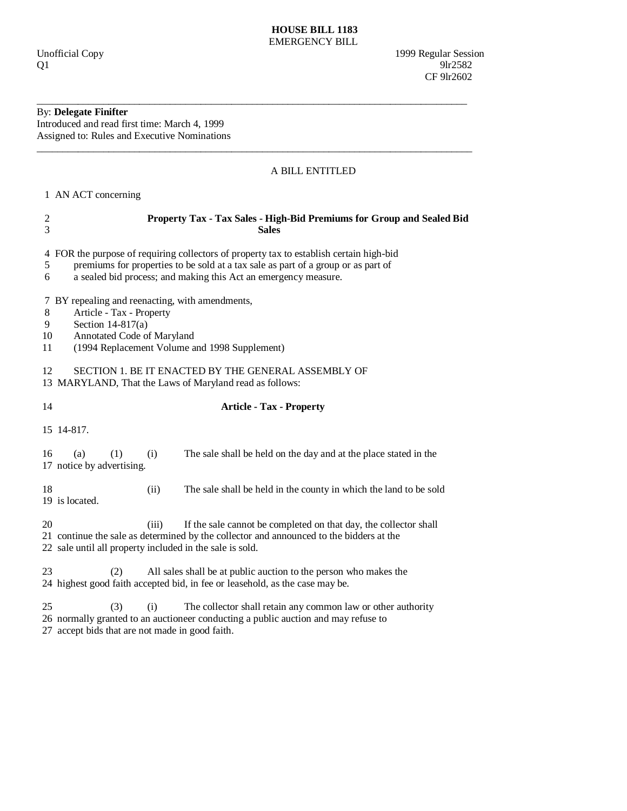# **HOUSE BILL 1183**  EMERGENCY BILL

# By: **Delegate Finifter**

Introduced and read first time: March 4, 1999 Assigned to: Rules and Executive Nominations

# A BILL ENTITLED

1 AN ACT concerning

| Property Tax - Tax Sales - High-Bid Premiums for Group and Sealed Bid<br>$\overline{c}$<br>3<br><b>Sales</b>                                                                                                                                              |
|-----------------------------------------------------------------------------------------------------------------------------------------------------------------------------------------------------------------------------------------------------------|
| 4 FOR the purpose of requiring collectors of property tax to establish certain high-bid<br>premiums for properties to be sold at a tax sale as part of a group or as part of<br>5<br>a sealed bid process; and making this Act an emergency measure.<br>6 |
| 7 BY repealing and reenacting, with amendments,<br>Article - Tax - Property<br>8<br>Section $14-817(a)$<br>9<br>Annotated Code of Maryland<br>10<br>(1994 Replacement Volume and 1998 Supplement)<br>11                                                   |
| SECTION 1. BE IT ENACTED BY THE GENERAL ASSEMBLY OF<br>12<br>13 MARYLAND, That the Laws of Maryland read as follows:                                                                                                                                      |
| 14<br><b>Article - Tax - Property</b>                                                                                                                                                                                                                     |
| 15 14-817.                                                                                                                                                                                                                                                |
| (1)<br>16<br>(a)<br>The sale shall be held on the day and at the place stated in the<br>(i)<br>17 notice by advertising.                                                                                                                                  |
| 18<br>The sale shall be held in the county in which the land to be sold<br>(ii)<br>19 is located.                                                                                                                                                         |
| 20<br>If the sale cannot be completed on that day, the collector shall<br>(iii)<br>21 continue the sale as determined by the collector and announced to the bidders at the<br>22 sale until all property included in the sale is sold.                    |
| 23<br>All sales shall be at public auction to the person who makes the<br>(2)<br>24 highest good faith accepted bid, in fee or leasehold, as the case may be.                                                                                             |
| 25<br>(3)<br>(i)<br>The collector shall retain any common law or other authority<br>26 normally granted to an auctioneer conducting a public auction and may refuse to<br>27 accept bids that are not made in good faith.                                 |

\_\_\_\_\_\_\_\_\_\_\_\_\_\_\_\_\_\_\_\_\_\_\_\_\_\_\_\_\_\_\_\_\_\_\_\_\_\_\_\_\_\_\_\_\_\_\_\_\_\_\_\_\_\_\_\_\_\_\_\_\_\_\_\_\_\_\_\_\_\_\_\_\_\_\_\_\_\_\_\_\_\_\_\_

\_\_\_\_\_\_\_\_\_\_\_\_\_\_\_\_\_\_\_\_\_\_\_\_\_\_\_\_\_\_\_\_\_\_\_\_\_\_\_\_\_\_\_\_\_\_\_\_\_\_\_\_\_\_\_\_\_\_\_\_\_\_\_\_\_\_\_\_\_\_\_\_\_\_\_\_\_\_\_\_\_\_\_\_\_